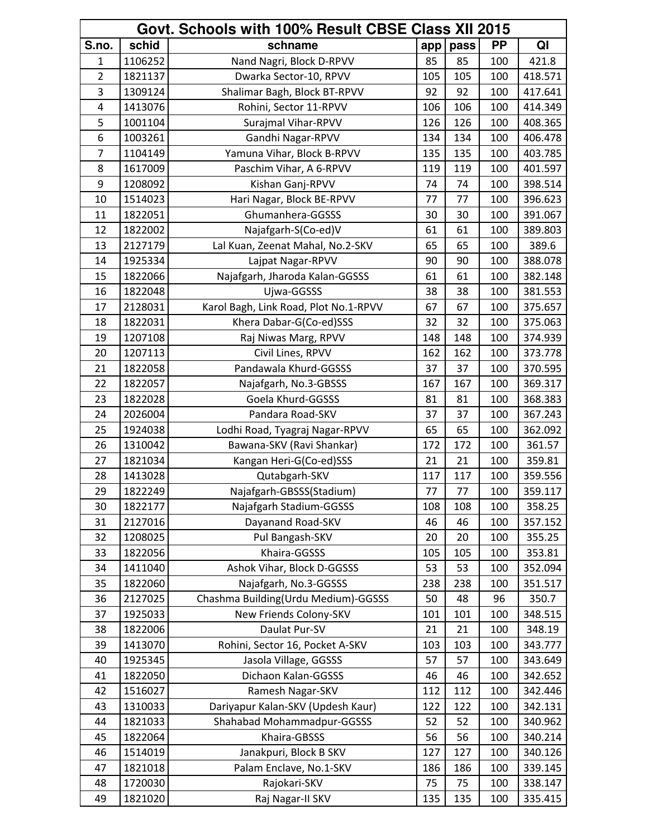| Govt. Schools with 100% Result CBSE Class XII 2015 |         |                                       |     |      |           |         |  |
|----------------------------------------------------|---------|---------------------------------------|-----|------|-----------|---------|--|
| S.no.                                              | schid   | schname                               | app | pass | <b>PP</b> | QI      |  |
| $\mathbf{1}$                                       | 1106252 | Nand Nagri, Block D-RPVV              | 85  | 85   | 100       | 421.8   |  |
| $\overline{2}$                                     | 1821137 | Dwarka Sector-10, RPVV                | 105 | 105  | 100       | 418.571 |  |
| 3                                                  | 1309124 | Shalimar Bagh, Block BT-RPVV          | 92  | 92   | 100       | 417.641 |  |
| 4                                                  | 1413076 | Rohini, Sector 11-RPVV                | 106 | 106  | 100       | 414.349 |  |
| 5                                                  | 1001104 | Surajmal Vihar-RPVV                   | 126 | 126  | 100       | 408.365 |  |
| 6                                                  | 1003261 | Gandhi Nagar-RPVV                     | 134 | 134  | 100       | 406.478 |  |
| $\overline{7}$                                     | 1104149 | Yamuna Vihar, Block B-RPVV            | 135 | 135  | 100       | 403.785 |  |
| 8                                                  | 1617009 | Paschim Vihar, A 6-RPVV               | 119 | 119  | 100       | 401.597 |  |
| 9                                                  | 1208092 | Kishan Ganj-RPVV                      | 74  | 74   | 100       | 398.514 |  |
| 10                                                 | 1514023 | Hari Nagar, Block BE-RPVV             | 77  | 77   | 100       | 396.623 |  |
| 11                                                 | 1822051 | Ghumanhera-GGSSS                      | 30  | 30   | 100       | 391.067 |  |
| 12                                                 | 1822002 | Najafgarh-S(Co-ed)V                   | 61  | 61   | 100       | 389.803 |  |
| 13                                                 | 2127179 | Lal Kuan, Zeenat Mahal, No.2-SKV      | 65  | 65   | 100       | 389.6   |  |
| 14                                                 | 1925334 | Lajpat Nagar-RPVV                     | 90  | 90   | 100       | 388.078 |  |
| 15                                                 | 1822066 | Najafgarh, Jharoda Kalan-GGSSS        | 61  | 61   | 100       | 382.148 |  |
| 16                                                 | 1822048 | Ujwa-GGSSS                            | 38  | 38   | 100       | 381.553 |  |
| 17                                                 | 2128031 | Karol Bagh, Link Road, Plot No.1-RPVV | 67  | 67   | 100       | 375.657 |  |
| 18                                                 | 1822031 | Khera Dabar-G(Co-ed)SSS               | 32  | 32   | 100       | 375.063 |  |
| 19                                                 | 1207108 | Raj Niwas Marg, RPVV                  | 148 | 148  | 100       | 374.939 |  |
| 20                                                 | 1207113 | Civil Lines, RPVV                     | 162 | 162  | 100       | 373.778 |  |
| 21                                                 | 1822058 | Pandawala Khurd-GGSSS                 | 37  | 37   | 100       | 370.595 |  |
| 22                                                 | 1822057 | Najafgarh, No.3-GBSSS                 | 167 | 167  | 100       | 369.317 |  |
| 23                                                 | 1822028 | Goela Khurd-GGSSS                     | 81  | 81   | 100       | 368.383 |  |
| 24                                                 | 2026004 | Pandara Road-SKV                      | 37  | 37   | 100       | 367.243 |  |
| 25                                                 | 1924038 | Lodhi Road, Tyagraj Nagar-RPVV        | 65  | 65   | 100       | 362.092 |  |
| 26                                                 | 1310042 | Bawana-SKV (Ravi Shankar)             | 172 | 172  | 100       | 361.57  |  |
| 27                                                 | 1821034 | Kangan Heri-G(Co-ed)SSS               | 21  | 21   | 100       | 359.81  |  |
| 28                                                 | 1413028 | Qutabgarh-SKV                         | 117 | 117  | 100       | 359.556 |  |
| 29                                                 | 1822249 | Najafgarh-GBSSS(Stadium)              | 77  | 77   | 100       | 359.117 |  |
| 30                                                 | 1822177 | Najafgarh Stadium-GGSSS               | 108 | 108  | 100       | 358.25  |  |
| 31                                                 | 2127016 | Dayanand Road-SKV                     | 46  | 46   | 100       | 357.152 |  |
| 32                                                 | 1208025 | Pul Bangash-SKV                       | 20  | 20   | 100       | 355.25  |  |
| 33                                                 | 1822056 | Khaira-GGSSS                          | 105 | 105  | 100       | 353.81  |  |
| 34                                                 | 1411040 | Ashok Vihar, Block D-GGSSS            | 53  | 53   | 100       | 352.094 |  |
| 35                                                 | 1822060 | Najafgarh, No.3-GGSSS                 | 238 | 238  | 100       | 351.517 |  |
| 36                                                 | 2127025 | Chashma Building(Urdu Medium)-GGSSS   | 50  | 48   | 96        | 350.7   |  |
| 37                                                 | 1925033 | New Friends Colony-SKV                | 101 | 101  | 100       | 348.515 |  |
| 38                                                 | 1822006 | Daulat Pur-SV                         | 21  | 21   | 100       | 348.19  |  |
| 39                                                 | 1413070 | Rohini, Sector 16, Pocket A-SKV       | 103 | 103  | 100       | 343.777 |  |
| 40                                                 | 1925345 | Jasola Village, GGSSS                 | 57  | 57   | 100       | 343.649 |  |
| 41                                                 | 1822050 | Dichaon Kalan-GGSSS                   | 46  | 46   | 100       | 342.652 |  |
| 42                                                 | 1516027 | Ramesh Nagar-SKV                      | 112 | 112  | 100       | 342.446 |  |
| 43                                                 | 1310033 | Dariyapur Kalan-SKV (Updesh Kaur)     | 122 | 122  | 100       | 342.131 |  |
| 44                                                 | 1821033 | Shahabad Mohammadpur-GGSSS            | 52  | 52   | 100       | 340.962 |  |
| 45                                                 | 1822064 | Khaira-GBSSS                          | 56  | 56   | 100       | 340.214 |  |
| 46                                                 | 1514019 | Janakpuri, Block B SKV                | 127 | 127  | 100       | 340.126 |  |
| 47                                                 | 1821018 | Palam Enclave, No.1-SKV               | 186 | 186  | 100       | 339.145 |  |
| 48                                                 | 1720030 | Rajokari-SKV                          | 75  | 75   | 100       | 338.147 |  |
| 49                                                 | 1821020 | Raj Nagar-II SKV                      | 135 | 135  | 100       | 335.415 |  |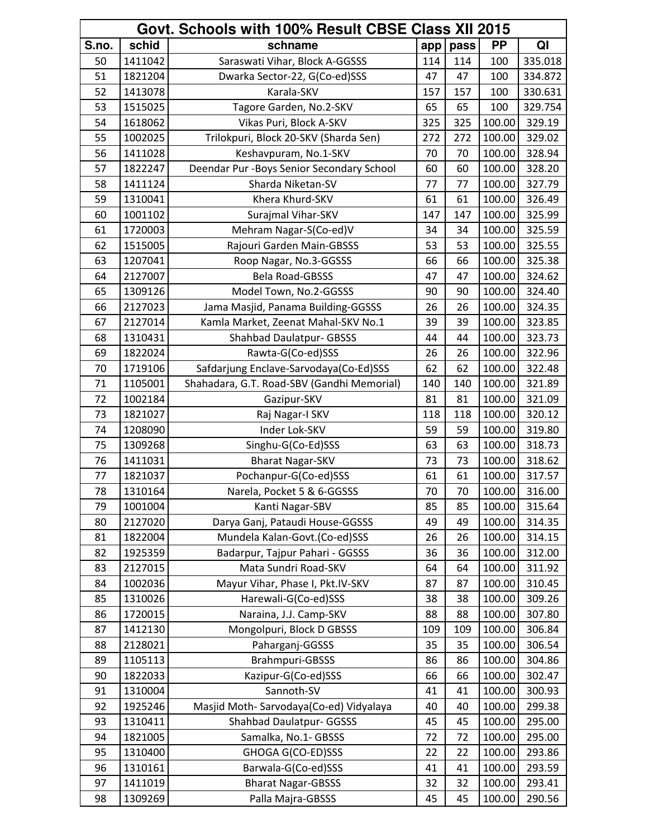| Govt. Schools with 100% Result CBSE Class XII 2015 |         |                                            |     |      |        |         |
|----------------------------------------------------|---------|--------------------------------------------|-----|------|--------|---------|
| S.no.                                              | schid   | schname                                    | app | pass | PP     | QI      |
| 50                                                 | 1411042 | Saraswati Vihar, Block A-GGSSS             | 114 | 114  | 100    | 335.018 |
| 51                                                 | 1821204 | Dwarka Sector-22, G(Co-ed)SSS              | 47  | 47   | 100    | 334.872 |
| 52                                                 | 1413078 | Karala-SKV                                 | 157 | 157  | 100    | 330.631 |
| 53                                                 | 1515025 | Tagore Garden, No.2-SKV                    | 65  | 65   | 100    | 329.754 |
| 54                                                 | 1618062 | Vikas Puri, Block A-SKV                    | 325 | 325  | 100.00 | 329.19  |
| 55                                                 | 1002025 | Trilokpuri, Block 20-SKV (Sharda Sen)      | 272 | 272  | 100.00 | 329.02  |
| 56                                                 | 1411028 | Keshavpuram, No.1-SKV                      | 70  | 70   | 100.00 | 328.94  |
| 57                                                 | 1822247 | Deendar Pur - Boys Senior Secondary School | 60  | 60   | 100.00 | 328.20  |
| 58                                                 | 1411124 | Sharda Niketan-SV                          | 77  | 77   | 100.00 | 327.79  |
| 59                                                 | 1310041 | Khera Khurd-SKV                            | 61  | 61   | 100.00 | 326.49  |
| 60                                                 | 1001102 | Surajmal Vihar-SKV                         | 147 | 147  | 100.00 | 325.99  |
| 61                                                 | 1720003 | Mehram Nagar-S(Co-ed)V                     | 34  | 34   | 100.00 | 325.59  |
| 62                                                 | 1515005 | Rajouri Garden Main-GBSSS                  | 53  | 53   | 100.00 | 325.55  |
| 63                                                 | 1207041 | Roop Nagar, No.3-GGSSS                     | 66  | 66   | 100.00 | 325.38  |
| 64                                                 | 2127007 | Bela Road-GBSSS                            | 47  | 47   | 100.00 | 324.62  |
| 65                                                 | 1309126 | Model Town, No.2-GGSSS                     | 90  | 90   | 100.00 | 324.40  |
| 66                                                 | 2127023 | Jama Masjid, Panama Building-GGSSS         | 26  | 26   | 100.00 | 324.35  |
| 67                                                 | 2127014 | Kamla Market, Zeenat Mahal-SKV No.1        | 39  | 39   | 100.00 | 323.85  |
| 68                                                 | 1310431 | <b>Shahbad Daulatpur- GBSSS</b>            | 44  | 44   | 100.00 | 323.73  |
| 69                                                 | 1822024 | Rawta-G(Co-ed)SSS                          | 26  | 26   | 100.00 | 322.96  |
| 70                                                 | 1719106 | Safdarjung Enclave-Sarvodaya(Co-Ed)SSS     | 62  | 62   | 100.00 | 322.48  |
| 71                                                 | 1105001 | Shahadara, G.T. Road-SBV (Gandhi Memorial) | 140 | 140  | 100.00 | 321.89  |
| 72                                                 | 1002184 | Gazipur-SKV                                | 81  | 81   | 100.00 | 321.09  |
| 73                                                 | 1821027 | Raj Nagar-I SKV                            | 118 | 118  | 100.00 | 320.12  |
| 74                                                 | 1208090 | Inder Lok-SKV                              | 59  | 59   | 100.00 | 319.80  |
| 75                                                 | 1309268 | Singhu-G(Co-Ed)SSS                         | 63  | 63   | 100.00 | 318.73  |
| 76                                                 | 1411031 | <b>Bharat Nagar-SKV</b>                    | 73  | 73   | 100.00 | 318.62  |
| 77                                                 | 1821037 | Pochanpur-G(Co-ed)SSS                      | 61  | 61   | 100.00 | 317.57  |
| 78                                                 | 1310164 | Narela, Pocket 5 & 6-GGSSS                 | 70  | 70   | 100.00 | 316.00  |
| 79                                                 | 1001004 | Kanti Nagar-SBV                            | 85  | 85   | 100.00 | 315.64  |
| 80                                                 | 2127020 | Darya Ganj, Pataudi House-GGSSS            | 49  | 49   | 100.00 | 314.35  |
| 81                                                 | 1822004 | Mundela Kalan-Govt.(Co-ed)SSS              | 26  | 26   | 100.00 | 314.15  |
| 82                                                 | 1925359 | Badarpur, Tajpur Pahari - GGSSS            | 36  | 36   | 100.00 | 312.00  |
| 83                                                 | 2127015 | Mata Sundri Road-SKV                       | 64  | 64   | 100.00 | 311.92  |
| 84                                                 | 1002036 | Mayur Vihar, Phase I, Pkt.IV-SKV           | 87  | 87   | 100.00 | 310.45  |
| 85                                                 | 1310026 | Harewali-G(Co-ed)SSS                       | 38  | 38   | 100.00 | 309.26  |
| 86                                                 | 1720015 | Naraina, J.J. Camp-SKV                     | 88  | 88   | 100.00 | 307.80  |
| 87                                                 | 1412130 | Mongolpuri, Block D GBSSS                  | 109 | 109  | 100.00 | 306.84  |
| 88                                                 | 2128021 | Paharganj-GGSSS                            | 35  | 35   | 100.00 | 306.54  |
| 89                                                 | 1105113 | Brahmpuri-GBSSS                            | 86  | 86   | 100.00 | 304.86  |
| 90                                                 | 1822033 | Kazipur-G(Co-ed)SSS                        | 66  | 66   | 100.00 | 302.47  |
| 91                                                 | 1310004 | Sannoth-SV                                 | 41  | 41   | 100.00 | 300.93  |
| 92                                                 | 1925246 | Masjid Moth-Sarvodaya(Co-ed) Vidyalaya     | 40  | 40   | 100.00 | 299.38  |
| 93                                                 | 1310411 | <b>Shahbad Daulatpur- GGSSS</b>            | 45  | 45   | 100.00 | 295.00  |
| 94                                                 | 1821005 | Samalka, No.1- GBSSS                       | 72  | 72   | 100.00 | 295.00  |
| 95                                                 | 1310400 | GHOGA G(CO-ED)SSS                          | 22  | 22   | 100.00 | 293.86  |
| 96                                                 | 1310161 | Barwala-G(Co-ed)SSS                        | 41  | 41   | 100.00 | 293.59  |
| 97                                                 | 1411019 | <b>Bharat Nagar-GBSSS</b>                  | 32  | 32   | 100.00 | 293.41  |
| 98                                                 | 1309269 | Palla Majra-GBSSS                          | 45  | 45   | 100.00 | 290.56  |